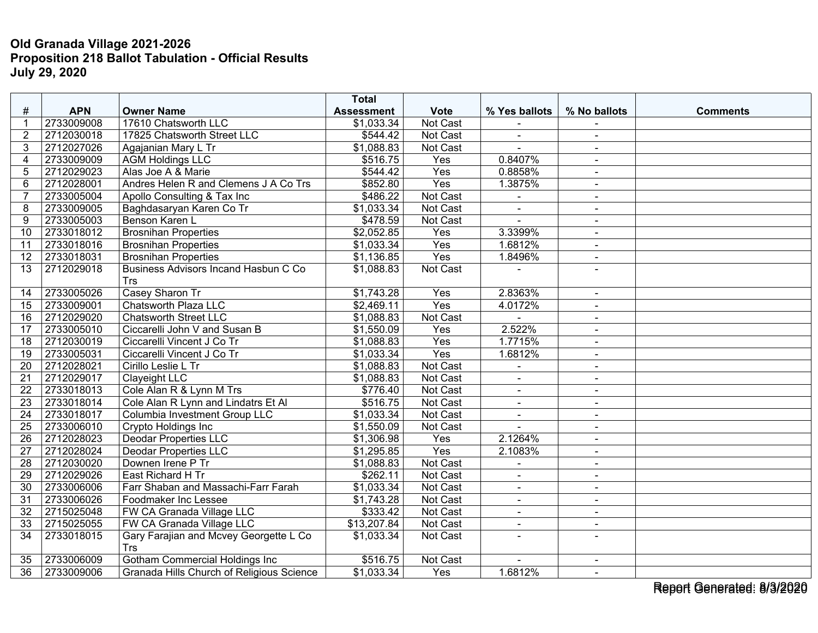## **Old Granada Village 2021-2026 Proposition 218 Ballot Tabulation - Official Results July 29, 2020**

|                |            |                                           | <b>Total</b>      |                  |                |                          |                 |
|----------------|------------|-------------------------------------------|-------------------|------------------|----------------|--------------------------|-----------------|
| $\#$           | <b>APN</b> | <b>Owner Name</b>                         | <b>Assessment</b> | <b>Vote</b>      | % Yes ballots  | % No ballots             | <b>Comments</b> |
|                | 2733009008 | 17610 Chatsworth LLC                      | \$1,033.34        | Not Cast         |                |                          |                 |
| $\overline{2}$ | 2712030018 | 17825 Chatsworth Street LLC               | \$544.42          | <b>Not Cast</b>  | $\blacksquare$ | $\overline{a}$           |                 |
| 3              | 2712027026 | Agajanian Mary L Tr                       | \$1,088.83        | Not Cast         |                | $\blacksquare$           |                 |
| 4              | 2733009009 | <b>AGM Holdings LLC</b>                   | \$516.75          | Yes              | 0.8407%        | $\overline{a}$           |                 |
| 5              | 2712029023 | Alas Joe A & Marie                        | \$544.42          | Yes              | 0.8858%        | $\sim$                   |                 |
| 6              | 2712028001 | Andres Helen R and Clemens J A Co Trs     | \$852.80          | Yes              | 1.3875%        | $\sim$                   |                 |
| 7              | 2733005004 | Apollo Consulting & Tax Inc               | \$486.22          | Not Cast         |                | $\sim$                   |                 |
| 8              | 2733009005 | Baghdasaryan Karen Co Tr                  | \$1,033.34        | Not Cast         | $\mathbf{r}$   | $\sim$                   |                 |
| 9              | 2733005003 | Benson Karen L                            | \$478.59          | Not Cast         | $\overline{a}$ | $\sim$                   |                 |
| 10             | 2733018012 | <b>Brosnihan Properties</b>               | \$2,052.85        | Yes              | 3.3399%        | $\sim$                   |                 |
| 11             | 2733018016 | <b>Brosnihan Properties</b>               | \$1,033.34        | Yes              | 1.6812%        | $\ddot{\phantom{1}}$     |                 |
| 12             | 2733018031 | <b>Brosnihan Properties</b>               | \$1,136.85        | Yes              | 1.8496%        | $\sim$                   |                 |
| 13             | 2712029018 | Business Advisors Incand Hasbun C Co      | \$1,088.83        | Not Cast         |                |                          |                 |
|                |            | <b>Trs</b>                                |                   |                  |                |                          |                 |
| 14             | 2733005026 | Casey Sharon Tr                           | \$1,743.28        | Yes              | 2.8363%        | $\sim$                   |                 |
| 15             | 2733009001 | <b>Chatsworth Plaza LLC</b>               | \$2,469.11        | Yes              | 4.0172%        | $\sim$                   |                 |
| 16             | 2712029020 | <b>Chatsworth Street LLC</b>              | \$1,088.83        | Not Cast         |                | $\blacksquare$           |                 |
| 17             | 2733005010 | Ciccarelli John V and Susan B             | \$1,550.09        | Yes              | 2.522%         | $\sim$                   |                 |
| 18             | 2712030019 | Ciccarelli Vincent J Co Tr                | \$1,088.83        | Yes              | 1.7715%        | $\sim$                   |                 |
| 19             | 2733005031 | Ciccarelli Vincent J Co Tr                | \$1,033.34        | $\overline{Yes}$ | 1.6812%        | $\sim$                   |                 |
| 20             | 2712028021 | Cirillo Leslie L Tr                       | \$1,088.83        | Not Cast         |                | $\sim$                   |                 |
| 21             | 2712029017 | Clayeight LLC                             | \$1,088.83        | Not Cast         | $\overline{a}$ | $\overline{a}$           |                 |
| 22             | 2733018013 | Cole Alan R & Lynn M Trs                  | \$776.40          | Not Cast         | $\blacksquare$ | $\blacksquare$           |                 |
| 23             | 2733018014 | Cole Alan R Lynn and Lindatrs Et Al       | \$516.75          | Not Cast         | $\blacksquare$ | $\sim$                   |                 |
| 24             | 2733018017 | Columbia Investment Group LLC             | \$1,033.34        | Not Cast         | $\blacksquare$ | $\blacksquare$           |                 |
| 25             | 2733006010 | Crypto Holdings Inc                       | \$1,550.09        | Not Cast         |                | $\sim$                   |                 |
| 26             | 2712028023 | <b>Deodar Properties LLC</b>              | \$1,306.98        | Yes              | 2.1264%        | $\sim$                   |                 |
| 27             | 2712028024 | <b>Deodar Properties LLC</b>              | \$1,295.85        | Yes              | 2.1083%        | $\overline{a}$           |                 |
| 28             | 2712030020 | Downen Irene P Tr                         | \$1,088.83        | Not Cast         |                | $\overline{\phantom{a}}$ |                 |
| 29             | 2712029026 | East Richard H Tr                         | \$262.11          | Not Cast         | $\blacksquare$ | $\sim$                   |                 |
| 30             | 2733006006 | Farr Shaban and Massachi-Farr Farah       | \$1,033.34        | Not Cast         | $\blacksquare$ | $\sim$                   |                 |
| 31             | 2733006026 | Foodmaker Inc Lessee                      | \$1,743.28        | Not Cast         | $\blacksquare$ | $\blacksquare$           |                 |
| 32             | 2715025048 | FW CA Granada Village LLC                 | \$333.42          | Not Cast         | $\blacksquare$ | $\sim$                   |                 |
| 33             | 2715025055 | FW CA Granada Village LLC                 | \$13,207.84       | Not Cast         | $\blacksquare$ | $\blacksquare$           |                 |
| 34             | 2733018015 | Gary Farajian and Mcvey Georgette L Co    | \$1,033.34        | Not Cast         |                | $\overline{\phantom{a}}$ |                 |
|                |            | Trs                                       |                   |                  |                |                          |                 |
| 35             | 2733006009 | <b>Gotham Commercial Holdings Inc</b>     | \$516.75          | Not Cast         | $\mathbf{r}$   | $\sim$                   |                 |
| 36             | 2733009006 | Granada Hills Church of Religious Science | \$1,033.34        | Yes              | 1.6812%        | $\sim$                   |                 |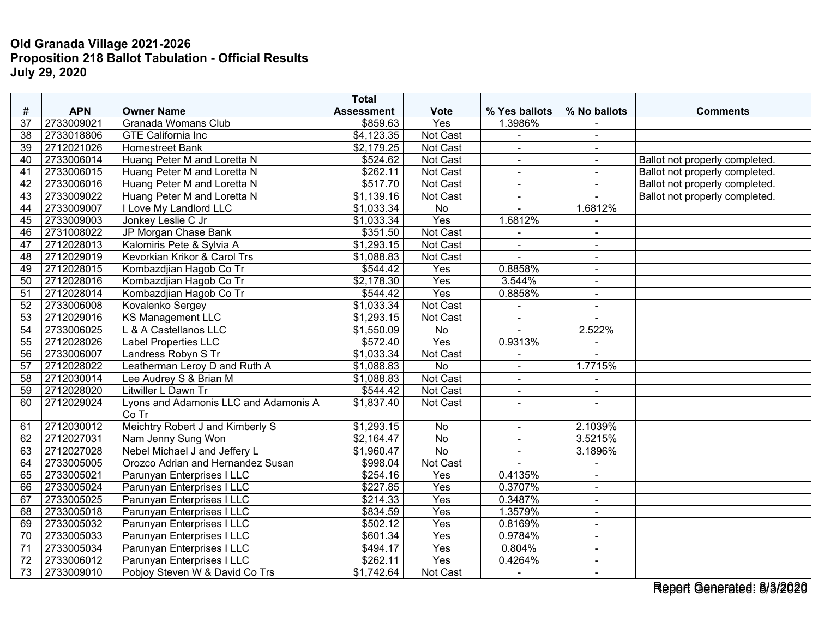## **Old Granada Village 2021-2026 Proposition 218 Ballot Tabulation - Official Results July 29, 2020**

|                 |            |                                                | <b>Total</b>         |                  |                          |                |                                |
|-----------------|------------|------------------------------------------------|----------------------|------------------|--------------------------|----------------|--------------------------------|
| #               | <b>APN</b> | <b>Owner Name</b>                              | <b>Assessment</b>    | <b>Vote</b>      | % Yes ballots            | % No ballots   | <b>Comments</b>                |
| 37              | 2733009021 | Granada Womans Club                            | \$859.63             | Yes              | 1.3986%                  |                |                                |
| 38              | 2733018806 | <b>GTE California Inc</b>                      | \$4,123.35           | <b>Not Cast</b>  | $\blacksquare$           | $\sim$         |                                |
| 39              | 2712021026 | Homestreet Bank                                | \$2,179.25           | Not Cast         | $\blacksquare$           | $\sim$         |                                |
| 40              | 2733006014 | Huang Peter M and Loretta N                    | \$524.62             | Not Cast         | $\blacksquare$           |                | Ballot not properly completed. |
| 41              | 2733006015 | Huang Peter M and Loretta N                    | \$262.11             | Not Cast         | $\blacksquare$           |                | Ballot not properly completed. |
| 42              | 2733006016 | Huang Peter M and Loretta N                    | \$517.70             | Not Cast         | $\blacksquare$           | $\sim$         | Ballot not properly completed. |
| 43              | 2733009022 | Huang Peter M and Loretta N                    | \$1,139.16           | Not Cast         | $\blacksquare$           |                | Ballot not properly completed. |
| 44              | 2733009007 | I Love My Landlord LLC                         | \$1,033.34           | No               |                          | 1.6812%        |                                |
| 45              | 2733009003 | Jonkey Leslie C Jr                             | \$1,033.34           | Yes              | 1.6812%                  | $\blacksquare$ |                                |
| 46              | 2731008022 | JP Morgan Chase Bank                           | $\overline{$}351.50$ | Not Cast         | ÷,                       | $\blacksquare$ |                                |
| 47              | 2712028013 | Kalomiris Pete & Sylvia A                      | \$1,293.15           | Not Cast         | $\overline{\phantom{a}}$ |                |                                |
| 48              | 2712029019 | Kevorkian Krikor & Carol Trs                   | \$1,088.83           | Not Cast         | $\blacksquare$           | $\sim$         |                                |
| 49              | 2712028015 | Kombazdjian Hagob Co Tr                        | \$544.42             | Yes              | 0.8858%                  | $\blacksquare$ |                                |
| 50              | 2712028016 | Kombazdjian Hagob Co Tr                        | \$2,178.30           | Yes              | 3.544%                   | $\sim$         |                                |
| 51              | 2712028014 | Kombazdjian Hagob Co Tr                        | \$544.42             | Yes              | 0.8858%                  | $\sim$         |                                |
| 52              | 2733006008 | Kovalenko Sergey                               | \$1,033.34           | Not Cast         | $\blacksquare$           | $\sim$         |                                |
| 53              | 2712029016 | <b>KS Management LLC</b>                       | \$1,293.15           | <b>Not Cast</b>  | $\blacksquare$           | $\blacksquare$ |                                |
| $\overline{54}$ | 2733006025 | L & A Castellanos LLC                          | \$1,550.09           | No               |                          | 2.522%         |                                |
| 55              | 2712028026 | <b>Label Properties LLC</b>                    | \$572.40             | Yes              | 0.9313%                  | $\sim$         |                                |
| 56              | 2733006007 | Landress Robyn S Tr                            | \$1,033.34           | Not Cast         | $\sim$                   |                |                                |
| 57              | 2712028022 | Leatherman Leroy D and Ruth A                  | \$1,088.83           | $\overline{No}$  | $\blacksquare$           | 1.7715%        |                                |
| 58              | 2712030014 | Lee Audrey S & Brian M                         | \$1,088.83           | Not Cast         |                          |                |                                |
| 59              | 2712028020 | Litwiller L Dawn Tr                            | \$544.42             | Not Cast         | $\blacksquare$           |                |                                |
| 60              | 2712029024 | Lyons and Adamonis LLC and Adamonis A<br>Co Tr | \$1,837.40           | Not Cast         | $\overline{a}$           |                |                                |
| 61              | 2712030012 | Meichtry Robert J and Kimberly S               | \$1,293.15           | No               | $\blacksquare$           | 2.1039%        |                                |
| 62              | 2712027031 | Nam Jenny Sung Won                             | \$2,164.47           | $\overline{No}$  | $\blacksquare$           | 3.5215%        |                                |
| 63              | 2712027028 | Nebel Michael J and Jeffery L                  | \$1,960.47           | <b>No</b>        | $\blacksquare$           | 3.1896%        |                                |
| 64              | 2733005005 | Orozco Adrian and Hernandez Susan              | \$998.04             | Not Cast         |                          |                |                                |
| 65              | 2733005021 | Parunyan Enterprises I LLC                     | \$254.16             | Yes              | 0.4135%                  | $\sim$         |                                |
| 66              | 2733005024 | Parunyan Enterprises I LLC                     | \$227.85             | Yes              | 0.3707%                  | $\blacksquare$ |                                |
| 67              | 2733005025 | Parunyan Enterprises I LLC                     | \$214.33             | $\overline{Yes}$ | 0.3487%                  | $\sim$         |                                |
| 68              | 2733005018 | Parunyan Enterprises I LLC                     | \$834.59             | Yes              | 1.3579%                  | $\blacksquare$ |                                |
| 69              | 2733005032 | Parunyan Enterprises I LLC                     | \$502.12             | Yes              | 0.8169%                  | $\sim$         |                                |
| 70              | 2733005033 | Parunyan Enterprises I LLC                     | \$601.34             | Yes              | 0.9784%                  | $\sim$         |                                |
| 71              | 2733005034 | Parunyan Enterprises I LLC                     | \$494.17             | Yes              | 0.804%                   |                |                                |
| 72              | 2733006012 | Parunyan Enterprises I LLC                     | \$262.11             | Yes              | 0.4264%                  | $\blacksquare$ |                                |
| 73              | 2733009010 | Pobjoy Steven W & David Co Trs                 | \$1,742.64           | Not Cast         | $\blacksquare$           | $\sim$         |                                |